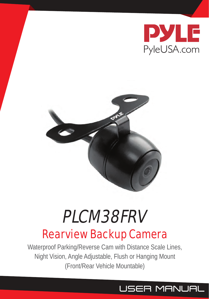



# Rearview Backup Camera PLCM38FRV

Waterproof Parking/Reverse Cam with Distance Scale Lines, Night Vision, Angle Adjustable, Flush or Hanging Mount (Front/Rear Vehicle Mountable)

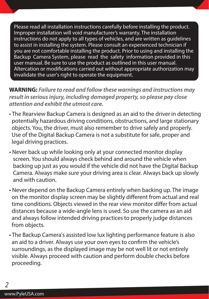Please read all installation instructions carefully before installing the product. Improper installation will void manufacturer's warranty. The installation instructions do not apply to all types of vehicles, and are written as guidelines to assist in installing the system. Please consult an experienced technician if you are not comfortable installing the product. Prior to using and installing the Backup Camera System, please read the safety information provided in this user manual. Be sure to use the product as outlined in this user manual. Altercation or modifications carried out without appropriate authorization may invalidate the user's right to operate the equipment.

**WARNING:** *Failure to read and follow these warnings and instructions may result in serious injury, including damaged property, so please pay close attention and exhibit the utmost care.* 

- The Rearview Backup Camera is designed as an aid to the driver in detecting potentially hazardous driving conditions, obstructions, and large stationary objects. You, the driver, must also remember to drive safely and properly. Use of the Digital Backup Camera is not a substitute for safe, proper and legal driving practices.
- Never back up while looking only at your connected monitor display screen. You should always check behind and around the vehicle when backing up just as you would if the vehicle did not have the Digital Backup Camera. Always make sure your driving area is clear. Always back up slowly and with caution.
- Never depend on the Backup Camera entirely when backing up. The image on the monitor display screen may be slightly different from actual and real time conditions. Objects viewed in the rear view monitor differ from actual distances because a wide-angle lens is used. So use the camera as an aid and always follow intended driving practices to properly judge distances from objects.
- The Backup Camera's assisted low lux lighting performance feature is also an aid to a driver. Always use your own eyes to confirm the vehicle's surroundings, as the displayed image may be not well lit or not entirely visible. Always proceed with caution and perform double checks before proceeding.

2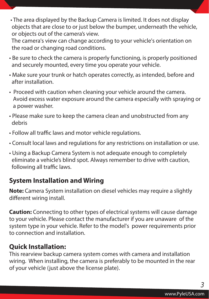• The area displayed by the Backup Camera is limited. It does not display objects that are close to or just below the bumper, underneath the vehicle, or objects out of the camera's view.

 The camera's view can change according to your vehicle's orientation on the road or changing road conditions.

- Be sure to check the camera is properly functioning, is properly positioned and securely mounted, every time you operate your vehicle.
- Make sure your trunk or hatch operates correctly, as intended, before and after installation.
- Proceed with caution when cleaning your vehicle around the camera. Avoid excess water exposure around the camera especially with spraying or a power washer.
- Please make sure to keep the camera clean and unobstructed from any debris
- Follow all traffic laws and motor vehicle regulations.
- Consult local laws and regulations for any restrictions on installation or use.
- Using a Backup Camera System is not adequate enough to completely eliminate a vehicle's blind spot. Always remember to drive with caution, following all traffic laws.

# **System Installation and Wiring**

**Note:** Camera System installation on diesel vehicles may require a slightly different wiring install.

**Caution:** Connecting to other types of electrical systems will cause damage to your vehicle. Please contact the manufacturer if you are unaware of the system type in your vehicle. Refer to the model's power requirements prior to connection and installation.

# **Quick Installation:**

This rearview backup camera system comes with camera and installation wiring. When installing, the camera is preferably to be mounted in the rear of your vehicle (just above the license plate).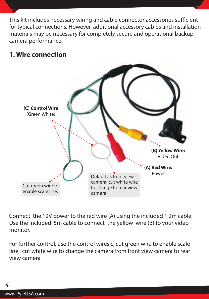This kit includes necessary wiring and cable connector accessories sufficient for typical connections. However, additional accessory cables and installation materials may be necessary for completely secure and operational backup camera performance.

#### **1. Wire connection**



Connect the 12V power to the red wire (A) using the included 1.2m cable. Use the included 5m cable to connect the yellow wire (B) to your video monitor.

For further control, use the control wires c, cut green wire to enable scale line; cut white wire to change the camera from front view camera to rear view camera

4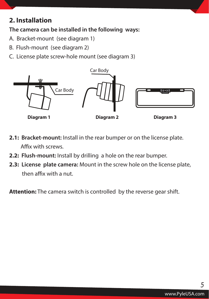# **2. Installation**

**The camera can be installed in the following ways:** 

- A. Bracket-mount (see diagram 1)
- B. Flush-mount (see diagram 2)
- C. License plate screw-hole mount (see diagram 3)



- **2.1: Bracket-mount:** Install in the rear bumper or on the license plate. Affix with screws.
- **2.2: Flush-mount:** Install by drilling a hole on the rear bumper.
- **2.3: License plate camera:** Mount in the screw hole on the license plate, then affix with a nut.

**Attention:** The camera switch is controlled by the reverse gear shift.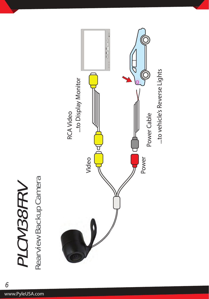# Rearview Backup Camera Rearview Backup CameraPLCM38FRV PLCM38FRV

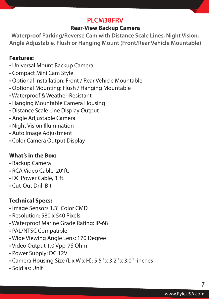# **PLCM38FRV**

#### **Rear-View Backup Camera**

**Waterproof Parking/Reverse Cam with Distance Scale Lines, Night Vision, Angle Adjustable, Flush or Hanging Mount (Front/Rear Vehicle Mountable)**

#### **Features:**

- Universal Mount Backup Camera
- Compact Mini Cam Style
- Optional Installation: Front / Rear Vehicle Mountable
- Optional Mounting: Flush / Hanging Mountable
- Waterproof & Weather-Resistant
- Hanging Mountable Camera Housing
- Distance Scale Line Display Output
- Angle Adjustable Camera
- Night Vision Illumination
- Auto Image Adjustment
- Color Camera Output Display

#### **What's in the Box:**

- Backup Camera
- RCA Video Cable, 20' ft.
- DC Power Cable, 3' ft.
- Cut-Out Drill Bit

#### **Technical Specs:**

- Image Sensors 1.3'' Color CMD
- Resolution: 580 x 540 Pixels
- Waterproof Marine Grade Rating: IP-68
- PAL/NTSC Compatible
- Wide Viewing Angle Lens: 170 Degree
- Video Output 1.0 Vpp-7S Ohm
- Power Supply: DC 12V
- Camera Housing Size (L x W x H): 5.5'' x 3.2'' x 3.0'' -inches
- Sold as: Unit